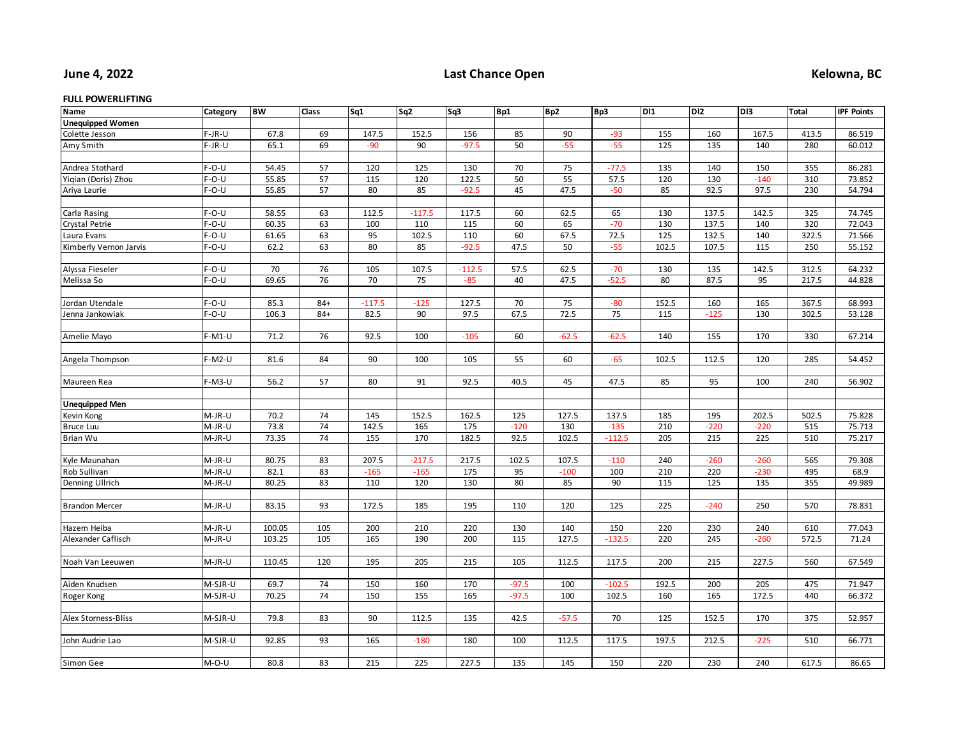## **June 4, 2022**

## **Last Chance Open Kelowna, BC**

## **FULL POWERLIFTING**

| Name                    | Category | <b>BW</b> | Class | Sq1      | Sq <sub>2</sub> | Sq3      | Bp1     | Bp <sub>2</sub> | Bp3      | D11   | DI <sub>2</sub> | DI3    | <b>Total</b> | <b>IPF Points</b> |
|-------------------------|----------|-----------|-------|----------|-----------------|----------|---------|-----------------|----------|-------|-----------------|--------|--------------|-------------------|
| <b>Unequipped Women</b> |          |           |       |          |                 |          |         |                 |          |       |                 |        |              |                   |
| Colette Jesson          | $F-JR-U$ | 67.8      | 69    | 147.5    | 152.5           | 156      | 85      | 90              | $-93$    | 155   | 160             | 167.5  | 413.5        | 86.519            |
| Amy Smith               | $F-JR-U$ | 65.1      | 69    | $-90$    | 90              | $-97.5$  | 50      | $-55$           | $-55$    | 125   | 135             | 140    | 280          | 60.012            |
|                         |          |           |       |          |                 |          |         |                 |          |       |                 |        |              |                   |
| Andrea Stothard         | $F-O-U$  | 54.45     | 57    | 120      | 125             | 130      | 70      | $75\,$          | $-77.5$  | 135   | 140             | 150    | 355          | 86.281            |
| Yigian (Doris) Zhou     | $F-O-U$  | 55.85     | 57    | 115      | 120             | 122.5    | 50      | 55              | 57.5     | 120   | 130             | $-140$ | 310          | 73.852            |
| Ariya Laurie            | $F-O-U$  | 55.85     | 57    | 80       | 85              | $-92.5$  | 45      | 47.5            | $-50$    | 85    | 92.5            | 97.5   | 230          | 54.794            |
|                         |          |           |       |          |                 |          |         |                 |          |       |                 |        |              |                   |
| Carla Rasing            | $F-O-U$  | 58.55     | 63    | 112.5    | $-117.5$        | 117.5    | 60      | 62.5            | 65       | 130   | 137.5           | 142.5  | 325          | 74.745            |
| Crystal Petrie          | $F-O-U$  | 60.35     | 63    | 100      | 110             | 115      | 60      | 65              | $-70$    | 130   | 137.5           | 140    | 320          | 72.043            |
| Laura Evans             | $F-O-U$  | 61.65     | 63    | 95       | 102.5           | 110      | 60      | 67.5            | 72.5     | 125   | 132.5           | 140    | 322.5        | 71.566            |
| Kimberly Vernon Jarvis  | $F-O-U$  | 62.2      | 63    | 80       | 85              | $-92.5$  | 47.5    | 50              | $-55$    | 102.5 | 107.5           | 115    | 250          | 55.152            |
|                         |          |           |       |          |                 |          |         |                 |          |       |                 |        |              |                   |
| Alyssa Fieseler         | $F-O-U$  | 70        | 76    | 105      | 107.5           | $-112.5$ | 57.5    | 62.5            | $-70$    | 130   | 135             | 142.5  | 312.5        | 64.232            |
| Melissa So              | $F-O-U$  | 69.65     | 76    | 70       | 75              | $-85$    | 40      | 47.5            | $-52.5$  | 80    | 87.5            | 95     | 217.5        | 44.828            |
|                         |          |           |       |          |                 |          |         |                 |          |       |                 |        |              |                   |
| Jordan Utendale         | $F-O-U$  | 85.3      | $84+$ | $-117.5$ | $-125$          | 127.5    | 70      | 75              | $-80$    | 152.5 | 160             | 165    | 367.5        | 68.993            |
| Jenna Jankowiak         | $F-O-U$  | 106.3     | $84+$ | 82.5     | 90              | 97.5     | 67.5    | 72.5            | 75       | 115   | $-125$          | 130    | 302.5        | 53.128            |
|                         |          |           |       |          |                 |          |         |                 |          |       |                 |        |              |                   |
| Amelie Mayo             | $F-M1-U$ | 71.2      | 76    | 92.5     | 100             | $-105$   | 60      | $-62.5$         | $-62.5$  | 140   | 155             | 170    | 330          | 67.214            |
|                         |          |           |       |          |                 |          |         |                 |          |       |                 |        |              |                   |
| Angela Thompson         | $F-M2-U$ | 81.6      | 84    | 90       | 100             | 105      | 55      | 60              | $-65$    | 102.5 | 112.5           | 120    | 285          | 54.452            |
|                         |          |           |       |          |                 |          |         |                 |          |       |                 |        |              |                   |
| Maureen Rea             | $F-M3-U$ | 56.2      | 57    | 80       | 91              | 92.5     | 40.5    | 45              | 47.5     | 85    | 95              | 100    | 240          | 56.902            |
|                         |          |           |       |          |                 |          |         |                 |          |       |                 |        |              |                   |
| <b>Unequipped Men</b>   |          |           |       |          |                 |          |         |                 |          |       |                 |        |              |                   |
| Kevin Kong              | M-JR-U   | 70.2      | 74    | 145      | 152.5           | 162.5    | 125     | 127.5           | 137.5    | 185   | 195             | 202.5  | 502.5        | 75.828            |
| <b>Bruce Luu</b>        | M-JR-U   | 73.8      | 74    | 142.5    | 165             | 175      | $-120$  | 130             | $-135$   | 210   | $-220$          | $-220$ | 515          | 75.713            |
| Brian Wu                | M-JR-U   | 73.35     | 74    | 155      | 170             | 182.5    | 92.5    | 102.5           | $-112.5$ | 205   | 215             | 225    | 510          | 75.217            |
|                         |          |           |       |          |                 |          |         |                 |          |       |                 |        |              |                   |
| Kyle Maunahan           | M-JR-U   | 80.75     | 83    | 207.5    | $-217.5$        | 217.5    | 102.5   | 107.5           | $-110$   | 240   | $-260$          | $-260$ | 565          | 79.308            |
| Rob Sullivan            | M-JR-U   | 82.1      | 83    | $-165$   | $-165$          | 175      | 95      | $-100$          | 100      | 210   | 220             | $-230$ | 495          | 68.9              |
| Denning Ullrich         | M-JR-U   | 80.25     | 83    | 110      | 120             | 130      | 80      | 85              | 90       | 115   | 125             | 135    | 355          | 49.989            |
|                         |          |           |       |          |                 |          |         |                 |          |       |                 |        |              |                   |
| <b>Brandon Mercer</b>   | M-JR-U   | 83.15     | 93    | 172.5    | 185             | 195      | 110     | 120             | 125      | 225   | $-240$          | 250    | 570          | 78.831            |
|                         |          |           |       |          |                 |          |         |                 |          |       |                 |        |              |                   |
| Hazem Heiba             | M-JR-U   | 100.05    | 105   | 200      | 210             | 220      | 130     | 140             | 150      | 220   | 230             | 240    | 610          | 77.043            |
| Alexander Caflisch      | M-JR-U   | 103.25    | 105   | 165      | 190             | 200      | 115     | 127.5           | $-132.5$ | 220   | 245             | $-260$ | 572.5        | 71.24             |
|                         |          |           |       |          |                 |          |         |                 |          |       |                 |        |              |                   |
| Noah Van Leeuwen        | M-JR-U   | 110.45    | 120   | 195      | 205             | 215      | 105     | 112.5           | 117.5    | 200   | 215             | 227.5  | 560          | 67.549            |
|                         |          |           |       |          |                 |          |         |                 |          |       |                 |        |              |                   |
| Aiden Knudsen           | M-SJR-U  | 69.7      | 74    | 150      | 160             | 170      | $-97.5$ | 100             | $-102.5$ | 192.5 | 200             | 205    | 475          | 71.947            |
| Roger Kong              | M-SJR-U  | 70.25     | 74    | 150      | 155             | 165      | $-97.5$ | 100             | 102.5    | 160   | 165             | 172.5  | 440          | 66.372            |
|                         |          |           |       |          |                 |          |         |                 |          |       |                 |        |              |                   |
| Alex Storness-Bliss     | M-SJR-U  | 79.8      | 83    | 90       | 112.5           | 135      | 42.5    | $-57.5$         | 70       | 125   | 152.5           | 170    | 375          | 52.957            |
|                         |          |           |       |          |                 |          |         |                 |          |       |                 |        |              |                   |
| John Audrie Lao         | M-SJR-U  | 92.85     | 93    | 165      | $-180$          | 180      | 100     | 112.5           | 117.5    | 197.5 | 212.5           | $-225$ | 510          | 66.771            |
|                         |          |           |       |          |                 |          |         |                 |          |       |                 |        |              |                   |
| Simon Gee               | $M-O-U$  | 80.8      | 83    | 215      | 225             | 227.5    | 135     | 145             | 150      | 220   | 230             | 240    | 617.5        | 86.65             |